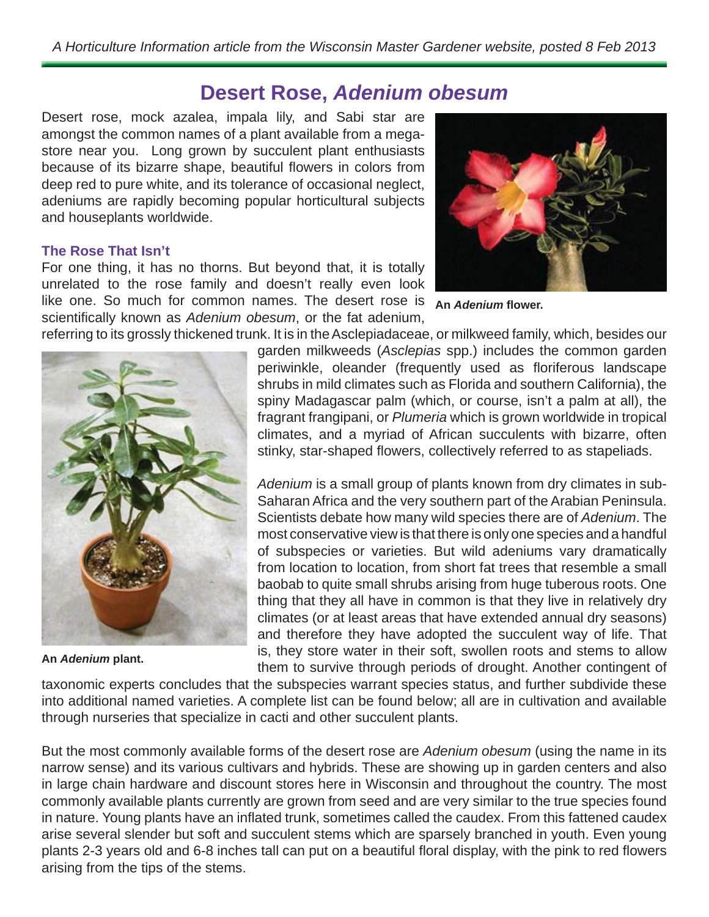# **Desert Rose,** *Adenium obesum*

Desert rose, mock azalea, impala lily, and Sabi star are amongst the common names of a plant available from a megastore near you. Long grown by succulent plant enthusiasts because of its bizarre shape, beautiful flowers in colors from deep red to pure white, and its tolerance of occasional neglect, adeniums are rapidly becoming popular horticultural subjects and houseplants worldwide.

## **The Rose That Isn't**

For one thing, it has no thorns. But beyond that, it is totally unrelated to the rose family and doesn't really even look like one. So much for common names. The desert rose is scientifically known as *Adenium obesum*, or the fat adenium,



**An** *Adenium* **fl ower.**

referring to its grossly thickened trunk. It is in the Asclepiadaceae, or milkweed family, which, besides our



**An** *Adenium* **plant.**

garden milkweeds (*Asclepias* spp.) includes the common garden periwinkle, oleander (frequently used as floriferous landscape shrubs in mild climates such as Florida and southern California), the spiny Madagascar palm (which, or course, isn't a palm at all), the fragrant frangipani, or *Plumeria* which is grown worldwide in tropical climates, and a myriad of African succulents with bizarre, often stinky, star-shaped flowers, collectively referred to as stapeliads.

*Adenium* is a small group of plants known from dry climates in sub-Saharan Africa and the very southern part of the Arabian Peninsula. Scientists debate how many wild species there are of *Adenium*. The most conservative view is that there is only one species and a handful of subspecies or varieties. But wild adeniums vary dramatically from location to location, from short fat trees that resemble a small baobab to quite small shrubs arising from huge tuberous roots. One thing that they all have in common is that they live in relatively dry climates (or at least areas that have extended annual dry seasons) and therefore they have adopted the succulent way of life. That is, they store water in their soft, swollen roots and stems to allow them to survive through periods of drought. Another contingent of

taxonomic experts concludes that the subspecies warrant species status, and further subdivide these into additional named varieties. A complete list can be found below; all are in cultivation and available through nurseries that specialize in cacti and other succulent plants.

But the most commonly available forms of the desert rose are *Adenium obesum* (using the name in its narrow sense) and its various cultivars and hybrids. These are showing up in garden centers and also in large chain hardware and discount stores here in Wisconsin and throughout the country. The most commonly available plants currently are grown from seed and are very similar to the true species found in nature. Young plants have an inflated trunk, sometimes called the caudex. From this fattened caudex arise several slender but soft and succulent stems which are sparsely branched in youth. Even young plants 2-3 years old and 6-8 inches tall can put on a beautiful floral display, with the pink to red flowers arising from the tips of the stems.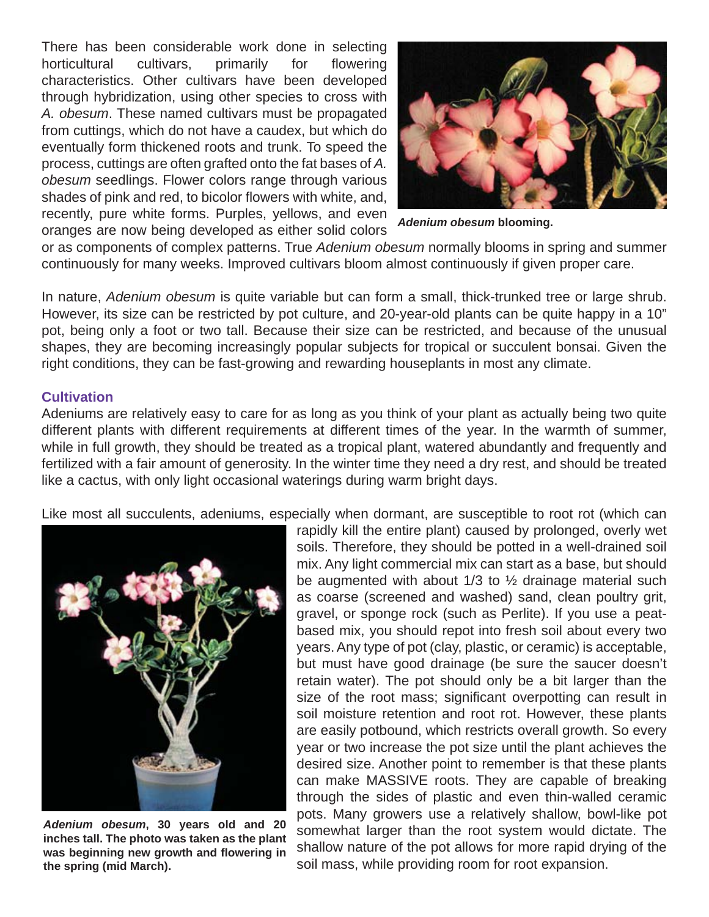There has been considerable work done in selecting horticultural cultivars, primarily for flowering characteristics. Other cultivars have been developed through hybridization, using other species to cross with *A. obesum*. These named cultivars must be propagated from cuttings, which do not have a caudex, but which do eventually form thickened roots and trunk. To speed the process, cuttings are often grafted onto the fat bases of *A. obesum* seedlings. Flower colors range through various shades of pink and red, to bicolor flowers with white, and, recently, pure white forms. Purples, yellows, and even oranges are now being developed as either solid colors



*Adenium obesum* **blooming.**

or as components of complex patterns. True *Adenium obesum* normally blooms in spring and summer continuously for many weeks. Improved cultivars bloom almost continuously if given proper care.

In nature, *Adenium obesum* is quite variable but can form a small, thick-trunked tree or large shrub. However, its size can be restricted by pot culture, and 20-year-old plants can be quite happy in a 10" pot, being only a foot or two tall. Because their size can be restricted, and because of the unusual shapes, they are becoming increasingly popular subjects for tropical or succulent bonsai. Given the right conditions, they can be fast-growing and rewarding houseplants in most any climate.

#### **Cultivation**

Adeniums are relatively easy to care for as long as you think of your plant as actually being two quite different plants with different requirements at different times of the year. In the warmth of summer, while in full growth, they should be treated as a tropical plant, watered abundantly and frequently and fertilized with a fair amount of generosity. In the winter time they need a dry rest, and should be treated like a cactus, with only light occasional waterings during warm bright days.

Like most all succulents, adeniums, especially when dormant, are susceptible to root rot (which can



*Adenium obesum***, 30 years old and 20 inches tall. The photo was taken as the plant was beginning new growth and fl owering in the spring (mid March).**

rapidly kill the entire plant) caused by prolonged, overly wet soils. Therefore, they should be potted in a well-drained soil mix. Any light commercial mix can start as a base, but should be augmented with about  $1/3$  to  $\frac{1}{2}$  drainage material such as coarse (screened and washed) sand, clean poultry grit, gravel, or sponge rock (such as Perlite). If you use a peatbased mix, you should repot into fresh soil about every two years. Any type of pot (clay, plastic, or ceramic) is acceptable, but must have good drainage (be sure the saucer doesn't retain water). The pot should only be a bit larger than the size of the root mass; significant overpotting can result in soil moisture retention and root rot. However, these plants are easily potbound, which restricts overall growth. So every year or two increase the pot size until the plant achieves the desired size. Another point to remember is that these plants can make MASSIVE roots. They are capable of breaking through the sides of plastic and even thin-walled ceramic pots. Many growers use a relatively shallow, bowl-like pot somewhat larger than the root system would dictate. The shallow nature of the pot allows for more rapid drying of the soil mass, while providing room for root expansion.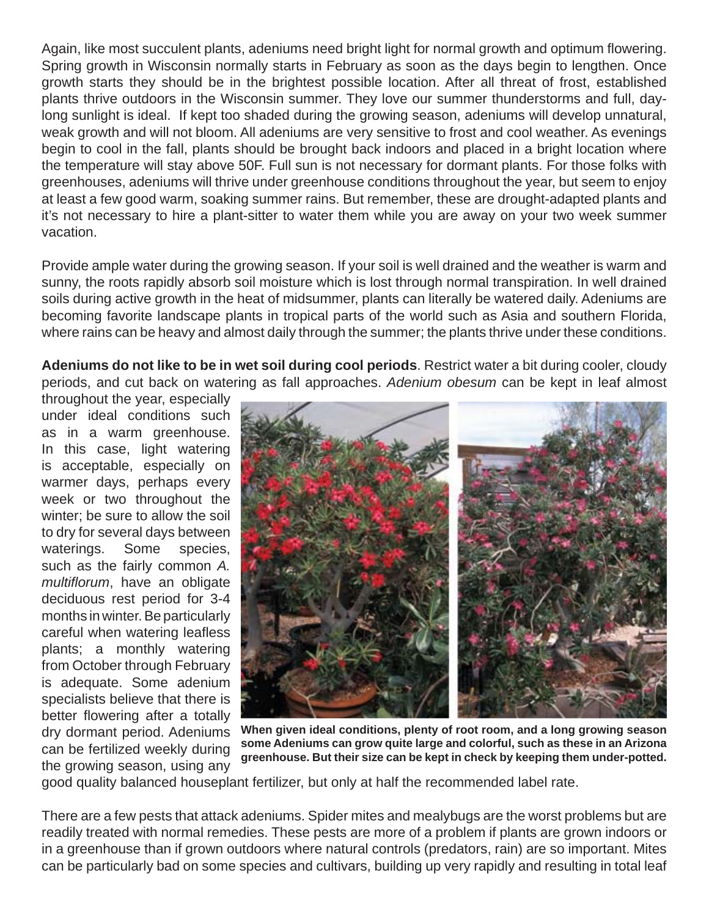Again, like most succulent plants, adeniums need bright light for normal growth and optimum flowering. Spring growth in Wisconsin normally starts in February as soon as the days begin to lengthen. Once growth starts they should be in the brightest possible location. After all threat of frost, established plants thrive outdoors in the Wisconsin summer. They love our summer thunderstorms and full, daylong sunlight is ideal. If kept too shaded during the growing season, adeniums will develop unnatural, weak growth and will not bloom. All adeniums are very sensitive to frost and cool weather. As evenings begin to cool in the fall, plants should be brought back indoors and placed in a bright location where the temperature will stay above 50F. Full sun is not necessary for dormant plants. For those folks with greenhouses, adeniums will thrive under greenhouse conditions throughout the year, but seem to enjoy at least a few good warm, soaking summer rains. But remember, these are drought-adapted plants and it's not necessary to hire a plant-sitter to water them while you are away on your two week summer vacation.

Provide ample water during the growing season. If your soil is well drained and the weather is warm and sunny, the roots rapidly absorb soil moisture which is lost through normal transpiration. In well drained soils during active growth in the heat of midsummer, plants can literally be watered daily. Adeniums are becoming favorite landscape plants in tropical parts of the world such as Asia and southern Florida, where rains can be heavy and almost daily through the summer; the plants thrive under these conditions.

**Adeniums do not like to be in wet soil during cool periods**. Restrict water a bit during cooler, cloudy periods, and cut back on watering as fall approaches. *Adenium obesum* can be kept in leaf almost

throughout the year, especially under ideal conditions such as in a warm greenhouse. In this case, light watering is acceptable, especially on warmer days, perhaps every week or two throughout the winter; be sure to allow the soil to dry for several days between waterings. Some species, such as the fairly common *A. multiflorum*, have an obligate deciduous rest period for 3-4 months in winter. Be particularly careful when watering leafless plants; a monthly watering from October through February is adequate. Some adenium specialists believe that there is better flowering after a totally dry dormant period. Adeniums can be fertilized weekly during the growing season, using any



**When given ideal conditions, plenty of root room, and a long growing season some Adeniums can grow quite large and colorful, such as these in an Arizona greenhouse. But their size can be kept in check by keeping them under-potted.**

good quality balanced houseplant fertilizer, but only at half the recommended label rate.

There are a few pests that attack adeniums. Spider mites and mealybugs are the worst problems but are readily treated with normal remedies. These pests are more of a problem if plants are grown indoors or in a greenhouse than if grown outdoors where natural controls (predators, rain) are so important. Mites can be particularly bad on some species and cultivars, building up very rapidly and resulting in total leaf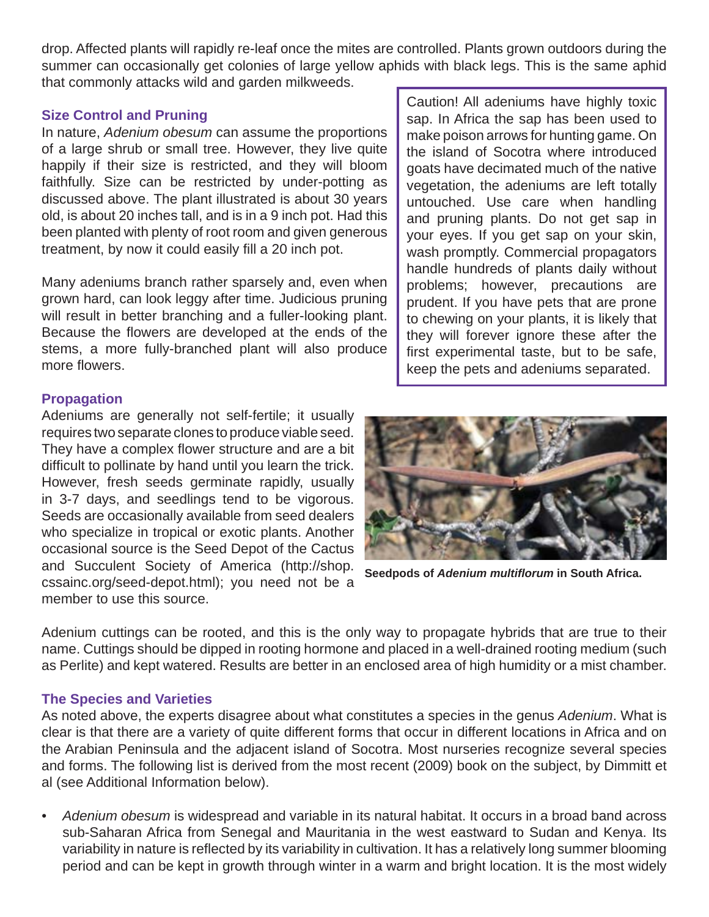drop. Affected plants will rapidly re-leaf once the mites are controlled. Plants grown outdoors during the summer can occasionally get colonies of large yellow aphids with black legs. This is the same aphid that commonly attacks wild and garden milkweeds.

### **Size Control and Pruning**

In nature, *Adenium obesum* can assume the proportions of a large shrub or small tree. However, they live quite happily if their size is restricted, and they will bloom faithfully. Size can be restricted by under-potting as discussed above. The plant illustrated is about 30 years old, is about 20 inches tall, and is in a 9 inch pot. Had this been planted with plenty of root room and given generous treatment, by now it could easily fill a 20 inch pot.

Many adeniums branch rather sparsely and, even when grown hard, can look leggy after time. Judicious pruning will result in better branching and a fuller-looking plant. Because the flowers are developed at the ends of the stems, a more fully-branched plant will also produce more flowers.

#### **Propagation**

Adeniums are generally not self-fertile; it usually requires two separate clones to produce viable seed. They have a complex flower structure and are a bit difficult to pollinate by hand until you learn the trick. However, fresh seeds germinate rapidly, usually in 3-7 days, and seedlings tend to be vigorous. Seeds are occasionally available from seed dealers who specialize in tropical or exotic plants. Another occasional source is the Seed Depot of the Cactus and Succulent Society of America (http://shop. cssainc.org/seed-depot.html); you need not be a member to use this source.

Caution! All adeniums have highly toxic sap. In Africa the sap has been used to make poison arrows for hunting game. On the island of Socotra where introduced goats have decimated much of the native vegetation, the adeniums are left totally untouched. Use care when handling and pruning plants. Do not get sap in your eyes. If you get sap on your skin, wash promptly. Commercial propagators handle hundreds of plants daily without problems; however, precautions are prudent. If you have pets that are prone to chewing on your plants, it is likely that they will forever ignore these after the first experimental taste, but to be safe, keep the pets and adeniums separated.



**Seedpods of** *Adenium multifl orum* **in South Africa.**

Adenium cuttings can be rooted, and this is the only way to propagate hybrids that are true to their name. Cuttings should be dipped in rooting hormone and placed in a well-drained rooting medium (such as Perlite) and kept watered. Results are better in an enclosed area of high humidity or a mist chamber.

#### **The Species and Varieties**

As noted above, the experts disagree about what constitutes a species in the genus *Adenium*. What is clear is that there are a variety of quite different forms that occur in different locations in Africa and on the Arabian Peninsula and the adjacent island of Socotra. Most nurseries recognize several species and forms. The following list is derived from the most recent (2009) book on the subject, by Dimmitt et al (see Additional Information below).

*• Adenium obesum* is widespread and variable in its natural habitat. It occurs in a broad band across sub-Saharan Africa from Senegal and Mauritania in the west eastward to Sudan and Kenya. Its variability in nature is reflected by its variability in cultivation. It has a relatively long summer blooming period and can be kept in growth through winter in a warm and bright location. It is the most widely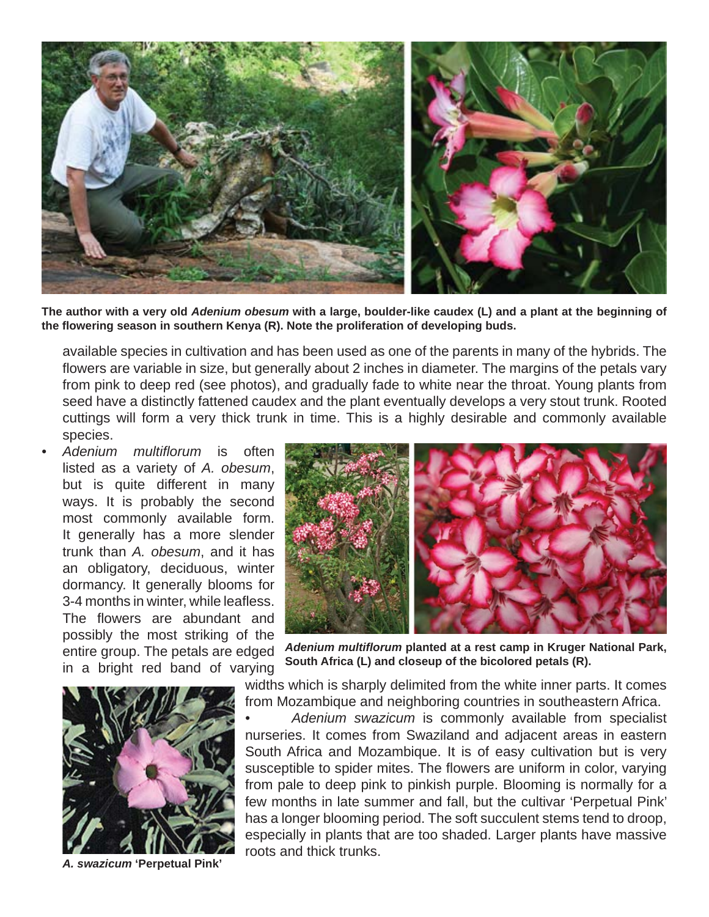

**The author with a very old** *Adenium obesum* **with a large, boulder-like caudex (L) and a plant at the beginning of the fl owering season in southern Kenya (R). Note the proliferation of developing buds.** 

available species in cultivation and has been used as one of the parents in many of the hybrids. The flowers are variable in size, but generally about 2 inches in diameter. The margins of the petals vary from pink to deep red (see photos), and gradually fade to white near the throat. Young plants from seed have a distinctly fattened caudex and the plant eventually develops a very stout trunk. Rooted cuttings will form a very thick trunk in time. This is a highly desirable and commonly available species.

Adenium multiflorum is often listed as a variety of *A. obesum*, but is quite different in many ways. It is probably the second most commonly available form. It generally has a more slender trunk than *A. obesum*, and it has an obligatory, deciduous, winter dormancy. It generally blooms for 3-4 months in winter, while leafless. The flowers are abundant and possibly the most striking of the entire group. The petals are edged in a bright red band of varying



*A. swazicum* **'Perpetual Pink'**



*Adenium multifl orum* **planted at a rest camp in Kruger National Park, South Africa (L) and closeup of the bicolored petals (R).**

widths which is sharply delimited from the white inner parts. It comes from Mozambique and neighboring countries in southeastern Africa.

*• Adenium swazicum* is commonly available from specialist nurseries. It comes from Swaziland and adjacent areas in eastern South Africa and Mozambique. It is of easy cultivation but is very susceptible to spider mites. The flowers are uniform in color, varying from pale to deep pink to pinkish purple. Blooming is normally for a few months in late summer and fall, but the cultivar 'Perpetual Pink' has a longer blooming period. The soft succulent stems tend to droop, especially in plants that are too shaded. Larger plants have massive roots and thick trunks.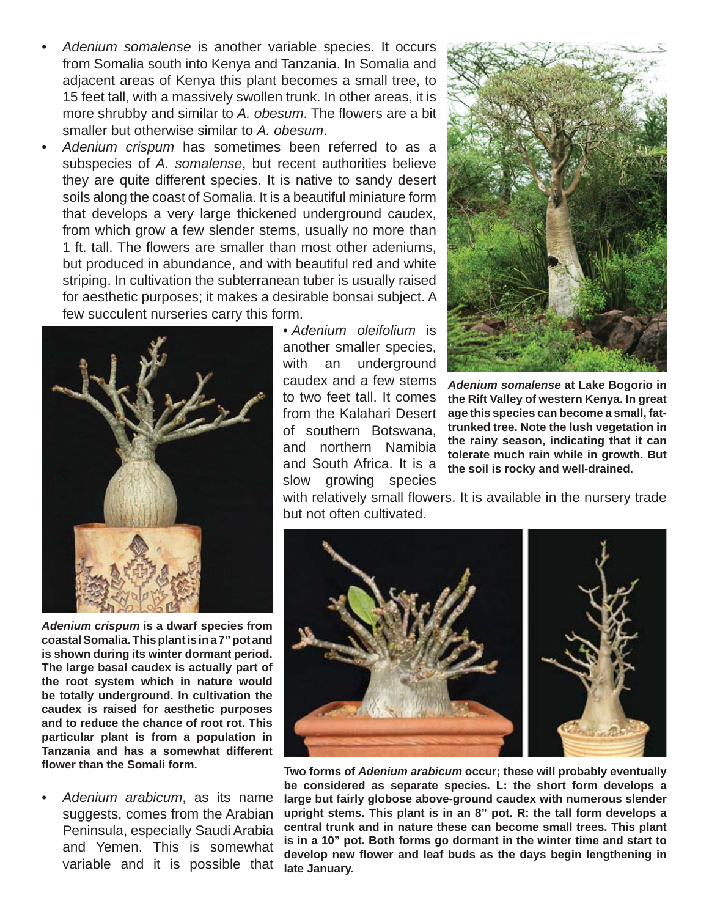- *Adenium somalense* is another variable species. It occurs from Somalia south into Kenya and Tanzania. In Somalia and adjacent areas of Kenya this plant becomes a small tree, to 15 feet tall, with a massively swollen trunk. In other areas, it is more shrubby and similar to A. obesum. The flowers are a bit smaller but otherwise similar to *A. obesum*.
- *Adenium crispum* has sometimes been referred to as a subspecies of *A. somalense*, but recent authorities believe they are quite different species. It is native to sandy desert soils along the coast of Somalia. It is a beautiful miniature form that develops a very large thickened underground caudex, from which grow a few slender stems, usually no more than 1 ft. tall. The flowers are smaller than most other adeniums, but produced in abundance, and with beautiful red and white striping. In cultivation the subterranean tuber is usually raised for aesthetic purposes; it makes a desirable bonsai subject. A few succulent nurseries carry this form.



*Adenium crispum* **is a dwarf species from coastal Somalia. This plant is in a 7" pot and is shown during its winter dormant period. The large basal caudex is actually part of the root system which in nature would be totally underground. In cultivation the caudex is raised for aesthetic purposes and to reduce the chance of root rot. This particular plant is from a population in Tanzania and has a somewhat different fl ower than the Somali form.**

*• Adenium arabicum*, as its name suggests, comes from the Arabian Peninsula, especially Saudi Arabia and Yemen. This is somewhat variable and it is possible that *• Adenium oleifolium* is another smaller species, with an underground caudex and a few stems to two feet tall. It comes from the Kalahari Desert of southern Botswana, and northern Namibia and South Africa. It is a slow growing species



*Adenium somalense* **at Lake Bogorio in the Rift Valley of western Kenya. In great age this species can become a small, fattrunked tree. Note the lush vegetation in the rainy season, indicating that it can tolerate much rain while in growth. But the soil is rocky and well-drained.**

with relatively small flowers. It is available in the nursery trade but not often cultivated.



**Two forms of** *Adenium arabicum* **occur; these will probably eventually be considered as separate species. L: the short form develops a large but fairly globose above-ground caudex with numerous slender upright stems. This plant is in an 8" pot. R: the tall form develops a central trunk and in nature these can become small trees. This plant is in a 10" pot. Both forms go dormant in the winter time and start to develop new fl ower and leaf buds as the days begin lengthening in late January.**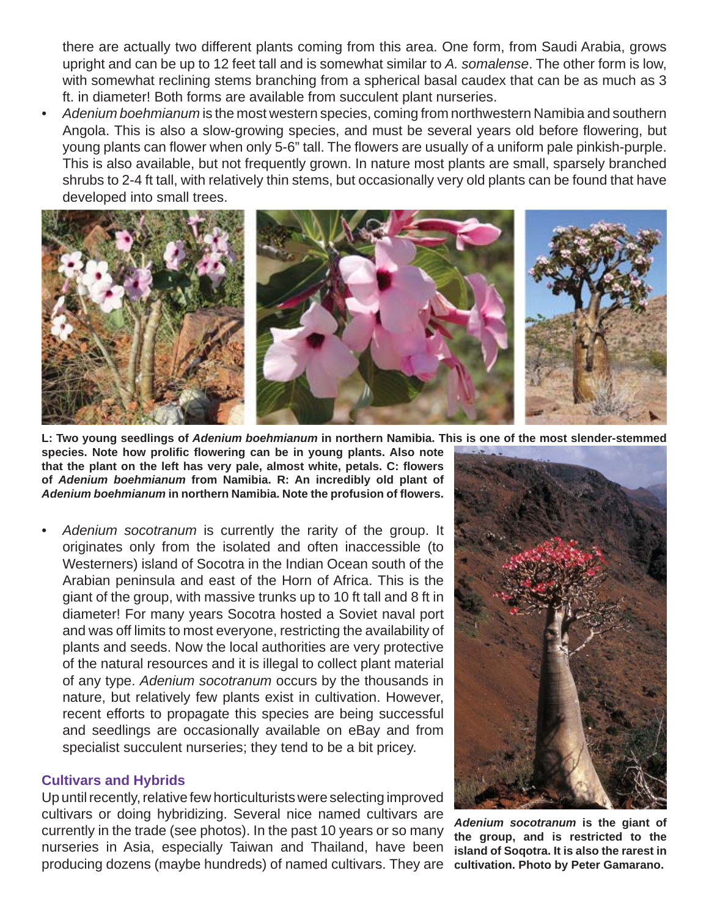there are actually two different plants coming from this area. One form, from Saudi Arabia, grows upright and can be up to 12 feet tall and is somewhat similar to *A. somalense*. The other form is low, with somewhat reclining stems branching from a spherical basal caudex that can be as much as 3 ft. in diameter! Both forms are available from succulent plant nurseries.

*• Adenium boehmianum* is the most western species, coming from northwestern Namibia and southern Angola. This is also a slow-growing species, and must be several years old before flowering, but young plants can flower when only 5-6" tall. The flowers are usually of a uniform pale pinkish-purple. This is also available, but not frequently grown. In nature most plants are small, sparsely branched shrubs to 2-4 ft tall, with relatively thin stems, but occasionally very old plants can be found that have developed into small trees.



**L: Two young seedlings of** *Adenium boehmianum* **in northern Namibia. This is one of the most slender-stemmed** 

species. Note how prolific flowering can be in young plants. Also note **that the plant on the left has very pale, almost white, petals. C: fl owers of** *Adenium boehmianum* **from Namibia. R: An incredibly old plant of**  *Adenium boehmianum* **in northern Namibia. Note the profusion of fl owers.**

*• Adenium socotranum* is currently the rarity of the group. It originates only from the isolated and often inaccessible (to Westerners) island of Socotra in the Indian Ocean south of the Arabian peninsula and east of the Horn of Africa. This is the giant of the group, with massive trunks up to 10 ft tall and 8 ft in diameter! For many years Socotra hosted a Soviet naval port and was off limits to most everyone, restricting the availability of plants and seeds. Now the local authorities are very protective of the natural resources and it is illegal to collect plant material of any type. *Adenium socotranum* occurs by the thousands in nature, but relatively few plants exist in cultivation. However, recent efforts to propagate this species are being successful and seedlings are occasionally available on eBay and from specialist succulent nurseries; they tend to be a bit pricey.

## **Cultivars and Hybrids**

Up until recently, relative few horticulturists were selecting improved cultivars or doing hybridizing. Several nice named cultivars are currently in the trade (see photos). In the past 10 years or so many nurseries in Asia, especially Taiwan and Thailand, have been producing dozens (maybe hundreds) of named cultivars. They are



*Adenium socotranum* **is the giant of the group, and is restricted to the island of Soqotra. It is also the rarest in cultivation. Photo by Peter Gamarano.**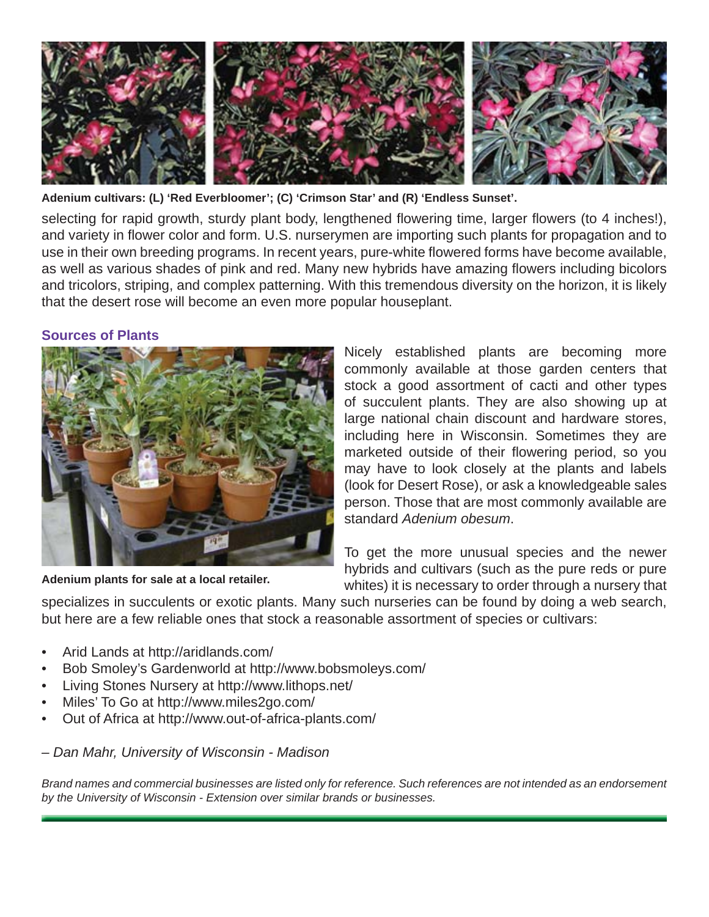

**Adenium cultivars: (L) 'Red Everbloomer'; (C) 'Crimson Star' and (R) 'Endless Sunset'.**

selecting for rapid growth, sturdy plant body, lengthened flowering time, larger flowers (to 4 inches!), and variety in flower color and form. U.S. nurserymen are importing such plants for propagation and to use in their own breeding programs. In recent years, pure-white flowered forms have become available, as well as various shades of pink and red. Many new hybrids have amazing flowers including bicolors and tricolors, striping, and complex patterning. With this tremendous diversity on the horizon, it is likely that the desert rose will become an even more popular houseplant.

## **Sources of Plants**



**Adenium plants for sale at a local retailer.**

Nicely established plants are becoming more commonly available at those garden centers that stock a good assortment of cacti and other types of succulent plants. They are also showing up at large national chain discount and hardware stores, including here in Wisconsin. Sometimes they are marketed outside of their flowering period, so you may have to look closely at the plants and labels (look for Desert Rose), or ask a knowledgeable sales person. Those that are most commonly available are standard *Adenium obesum*.

To get the more unusual species and the newer hybrids and cultivars (such as the pure reds or pure whites) it is necessary to order through a nursery that

specializes in succulents or exotic plants. Many such nurseries can be found by doing a web search, but here are a few reliable ones that stock a reasonable assortment of species or cultivars:

- Arid Lands at http://aridlands.com/
- Bob Smoley's Gardenworld at http://www.bobsmoleys.com/
- Living Stones Nursery at http://www.lithops.net/
- Miles' To Go at http://www.miles2go.com/
- Out of Africa at http://www.out-of-africa-plants.com/

## *– Dan Mahr, University of Wisconsin - Madison*

*Brand names and commercial businesses are listed only for reference. Such references are not intended as an endorsement by the University of Wisconsin - Extension over similar brands or businesses.*